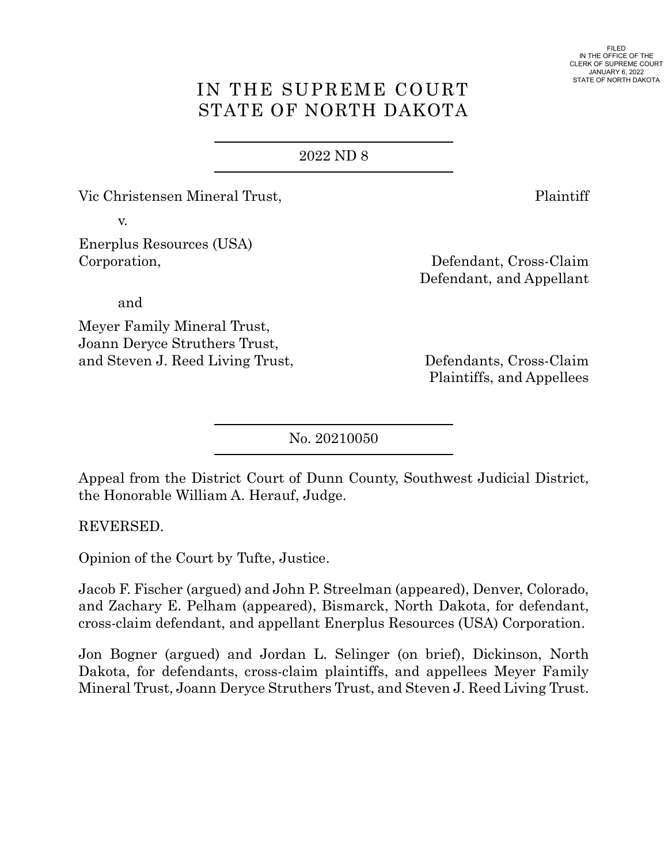FILED IN THE OFFICE OF THE CLERK OF SUPREME COURT JANUARY 6, 2022 STATE OF NORTH DAKOTA

# IN THE SUPREME COURT STATE OF NORTH DAKOTA

#### 2022 [ND 8](https://www.ndcourts.gov/supreme-court/opinion/2022ND8)

Vic Christensen Mineral Trust, Plaintiff

v.

Enerplus Resources (USA) Corporation, Defendant, Cross-Claim

and

Meyer Family Mineral Trust, Joann Deryce Struthers Trust, and Steven J. Reed Living Trust, Defendants, Cross-Claim

Defendant, and Appellant

Plaintiffs, and Appellees

[No. 20210050](https://www.ndcourts.gov/supreme-court/dockets/20210050)

Appeal from the District Court of Dunn County, Southwest Judicial District, the Honorable William A. Herauf, Judge.

REVERSED.

Opinion of the Court by Tufte, Justice.

Jacob F. Fischer (argued) and John P. Streelman (appeared), Denver, Colorado, and Zachary E. Pelham (appeared), Bismarck, North Dakota, for defendant, cross-claim defendant, and appellant Enerplus Resources (USA) Corporation.

Jon Bogner (argued) and Jordan L. Selinger (on brief), Dickinson, North Dakota, for defendants, cross-claim plaintiffs, and appellees Meyer Family Mineral Trust, Joann Deryce Struthers Trust, and Steven J. Reed Living Trust.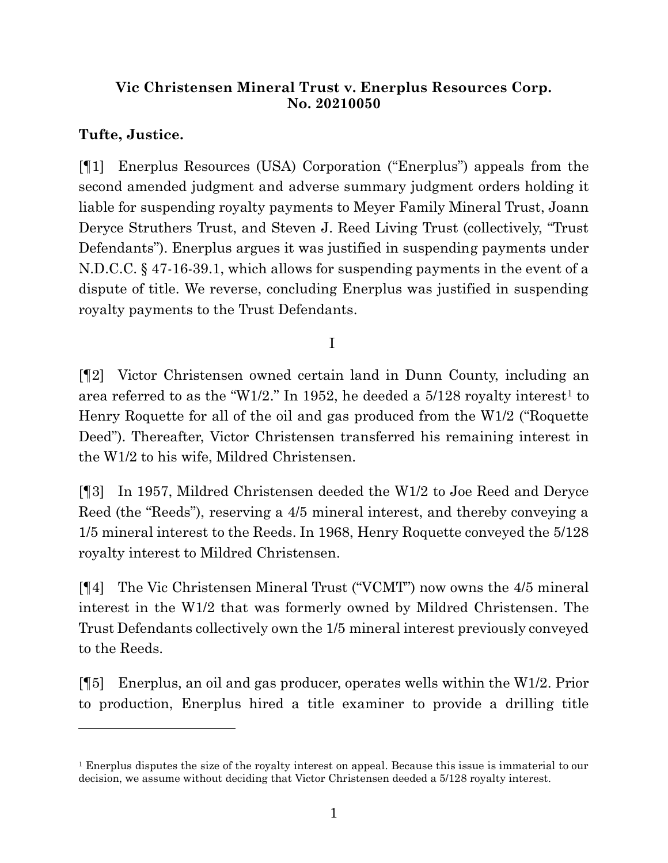## **Vic Christensen Mineral Trust v. Enerplus Resources Corp. [No. 20210050](https://www.ndcourts.gov/supreme-court/dockets/20210050)**

# **Tufte, Justice.**

[¶1] Enerplus Resources (USA) Corporation ("Enerplus") appeals from the second amended judgment and adverse summary judgment orders holding it liable for suspending royalty payments to Meyer Family Mineral Trust, Joann Deryce Struthers Trust, and Steven J. Reed Living Trust (collectively, "Trust Defendants"). Enerplus argues it was justified in suspending payments under N.D.C.C. § 47-16-39.1, which allows for suspending payments in the event of a dispute of title. We reverse, concluding Enerplus was justified in suspending royalty payments to the Trust Defendants.

I

[¶2] Victor Christensen owned certain land in Dunn County, including an area referred to as the "W1/2." In 1952, he deeded a  $5/128$  royalty interest<sup>1</sup> to Henry Roquette for all of the oil and gas produced from the W1/2 ("Roquette Deed"). Thereafter, Victor Christensen transferred his remaining interest in the W1/2 to his wife, Mildred Christensen.

[¶3] In 1957, Mildred Christensen deeded the W1/2 to Joe Reed and Deryce Reed (the "Reeds"), reserving a 4/5 mineral interest, and thereby conveying a 1/5 mineral interest to the Reeds. In 1968, Henry Roquette conveyed the 5/128 royalty interest to Mildred Christensen.

[¶4] The Vic Christensen Mineral Trust ("VCMT") now owns the 4/5 mineral interest in the W1/2 that was formerly owned by Mildred Christensen. The Trust Defendants collectively own the 1/5 mineral interest previously conveyed to the Reeds.

[¶5] Enerplus, an oil and gas producer, operates wells within the W1/2. Prior to production, Enerplus hired a title examiner to provide a drilling title

<sup>1</sup> Enerplus disputes the size of the royalty interest on appeal. Because this issue is immaterial to our decision, we assume without deciding that Victor Christensen deeded a 5/128 royalty interest.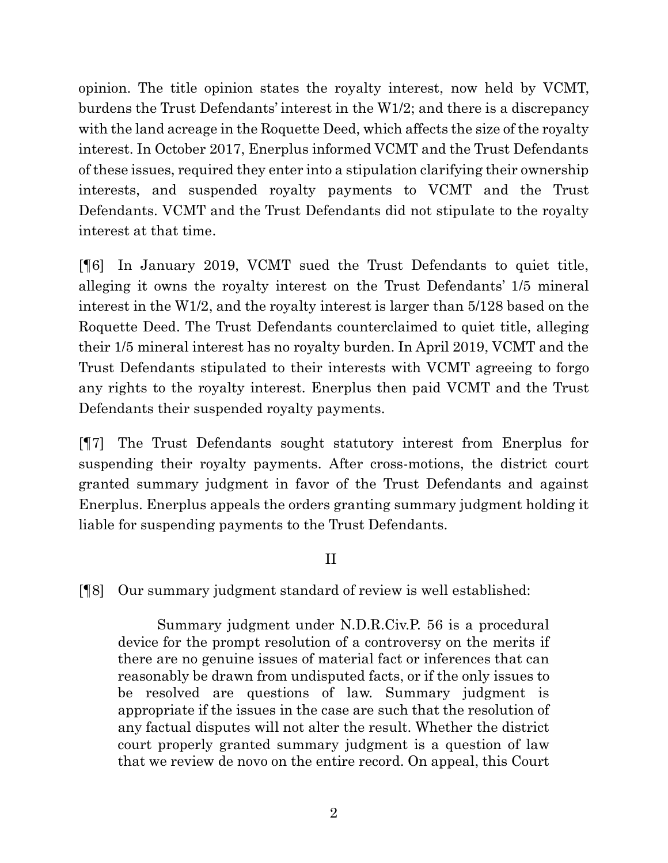opinion. The title opinion states the royalty interest, now held by VCMT, burdens the Trust Defendants' interest in the W1/2; and there is a discrepancy with the land acreage in the Roquette Deed, which affects the size of the royalty interest. In October 2017, Enerplus informed VCMT and the Trust Defendants of these issues, required they enter into a stipulation clarifying their ownership interests, and suspended royalty payments to VCMT and the Trust Defendants. VCMT and the Trust Defendants did not stipulate to the royalty interest at that time.

[¶6] In January 2019, VCMT sued the Trust Defendants to quiet title, alleging it owns the royalty interest on the Trust Defendants' 1/5 mineral interest in the W1/2, and the royalty interest is larger than 5/128 based on the Roquette Deed. The Trust Defendants counterclaimed to quiet title, alleging their 1/5 mineral interest has no royalty burden. In April 2019, VCMT and the Trust Defendants stipulated to their interests with VCMT agreeing to forgo any rights to the royalty interest. Enerplus then paid VCMT and the Trust Defendants their suspended royalty payments.

[¶7] The Trust Defendants sought statutory interest from Enerplus for suspending their royalty payments. After cross-motions, the district court granted summary judgment in favor of the Trust Defendants and against Enerplus. Enerplus appeals the orders granting summary judgment holding it liable for suspending payments to the Trust Defendants.

## II

# [¶8] Our summary judgment standard of review is well established:

Summary judgment under [N.D.R.Civ.P. 56](https://www.ndcourts.gov/legal-resources/rules/ndrcivp/56) is a procedural device for the prompt resolution of a controversy on the merits if there are no genuine issues of material fact or inferences that can reasonably be drawn from undisputed facts, or if the only issues to be resolved are questions of law. Summary judgment is appropriate if the issues in the case are such that the resolution of any factual disputes will not alter the result. Whether the district court properly granted summary judgment is a question of law that we review de novo on the entire record. On appeal, this Court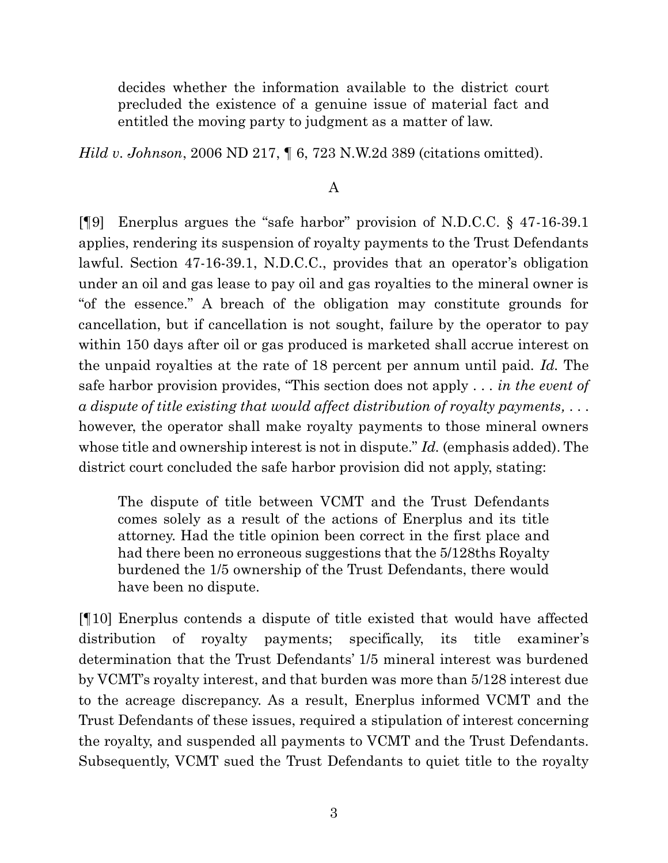decides whether the information available to the district court precluded the existence of a genuine issue of material fact and entitled the moving party to judgment as a matter of law.

*Hild v. Johnson*, [2006 ND 217,](https://www.ndcourts.gov/supreme-court/opinion/2006ND217) ¶ 6, [723 N.W.2d 389](https://www.ndcourts.gov/supreme-court/opinion/723NW2d389) (citations omitted).

#### A

[¶9] Enerplus argues the "safe harbor" provision of N.D.C.C. § 47-16-39.1 applies, rendering its suspension of royalty payments to the Trust Defendants lawful. Section 47-16-39.1, N.D.C.C., provides that an operator's obligation under an oil and gas lease to pay oil and gas royalties to the mineral owner is "of the essence." A breach of the obligation may constitute grounds for cancellation, but if cancellation is not sought, failure by the operator to pay within 150 days after oil or gas produced is marketed shall accrue interest on the unpaid royalties at the rate of 18 percent per annum until paid. *Id.* The safe harbor provision provides, "This section does not apply . . . *in the event of a dispute of title existing that would affect distribution of royalty payments,* . . . however, the operator shall make royalty payments to those mineral owners whose title and ownership interest is not in dispute." *Id.* (emphasis added). The district court concluded the safe harbor provision did not apply, stating:

The dispute of title between VCMT and the Trust Defendants comes solely as a result of the actions of Enerplus and its title attorney. Had the title opinion been correct in the first place and had there been no erroneous suggestions that the 5/128ths Royalty burdened the 1/5 ownership of the Trust Defendants, there would have been no dispute.

[¶10] Enerplus contends a dispute of title existed that would have affected distribution of royalty payments; specifically, its title examiner's determination that the Trust Defendants' 1/5 mineral interest was burdened by VCMT's royalty interest, and that burden was more than 5/128 interest due to the acreage discrepancy. As a result, Enerplus informed VCMT and the Trust Defendants of these issues, required a stipulation of interest concerning the royalty, and suspended all payments to VCMT and the Trust Defendants. Subsequently, VCMT sued the Trust Defendants to quiet title to the royalty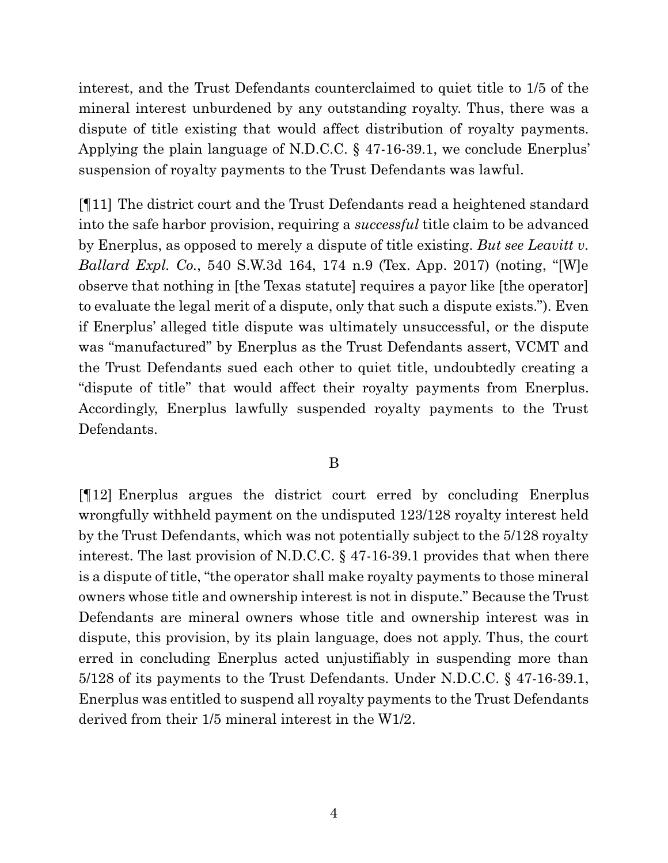interest, and the Trust Defendants counterclaimed to quiet title to 1/5 of the mineral interest unburdened by any outstanding royalty. Thus, there was a dispute of title existing that would affect distribution of royalty payments. Applying the plain language of N.D.C.C. § 47-16-39.1, we conclude Enerplus' suspension of royalty payments to the Trust Defendants was lawful.

[¶11] The district court and the Trust Defendants read a heightened standard into the safe harbor provision, requiring a *successful* title claim to be advanced by Enerplus, as opposed to merely a dispute of title existing. *But see Leavitt v. Ballard Expl. Co.*, 540 S.W.3d 164, 174 n.9 (Tex. App. 2017) (noting, "[W]e observe that nothing in [the Texas statute] requires a payor like [the operator] to evaluate the legal merit of a dispute, only that such a dispute exists."). Even if Enerplus' alleged title dispute was ultimately unsuccessful, or the dispute was "manufactured" by Enerplus as the Trust Defendants assert, VCMT and the Trust Defendants sued each other to quiet title, undoubtedly creating a "dispute of title" that would affect their royalty payments from Enerplus. Accordingly, Enerplus lawfully suspended royalty payments to the Trust Defendants.

#### B

[¶12] Enerplus argues the district court erred by concluding Enerplus wrongfully withheld payment on the undisputed 123/128 royalty interest held by the Trust Defendants, which was not potentially subject to the 5/128 royalty interest. The last provision of N.D.C.C. § 47-16-39.1 provides that when there is a dispute of title, "the operator shall make royalty payments to those mineral owners whose title and ownership interest is not in dispute." Because the Trust Defendants are mineral owners whose title and ownership interest was in dispute, this provision, by its plain language, does not apply. Thus, the court erred in concluding Enerplus acted unjustifiably in suspending more than 5/128 of its payments to the Trust Defendants. Under N.D.C.C. § 47-16-39.1, Enerplus was entitled to suspend all royalty payments to the Trust Defendants derived from their 1/5 mineral interest in the W1/2.